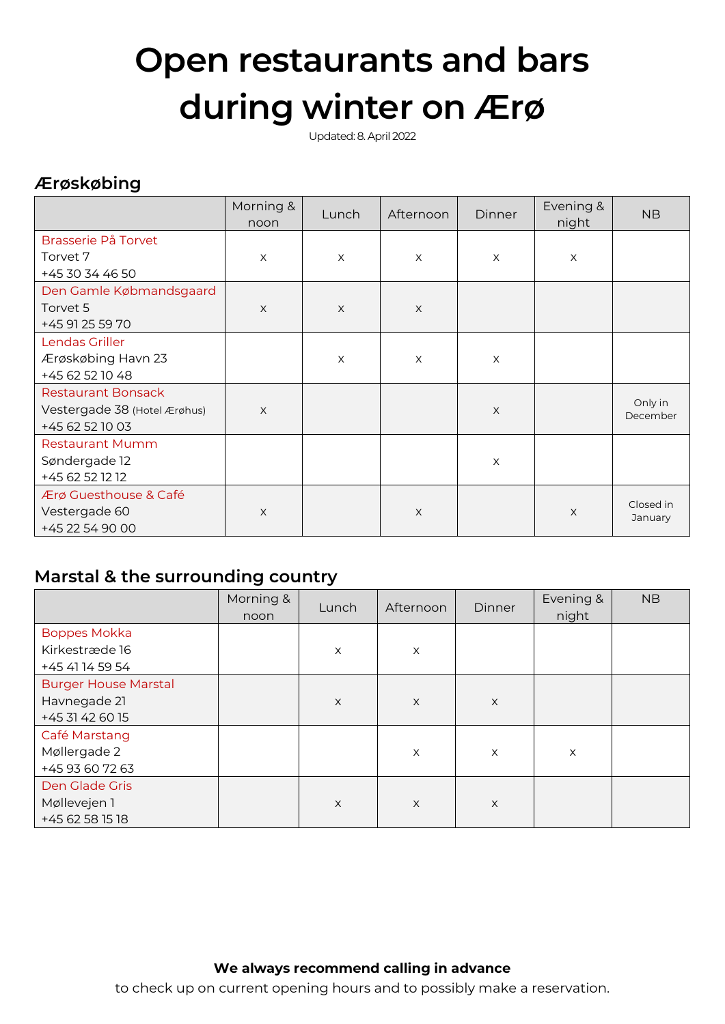# **Open restaurants and bars during winter on Ærø**

Updated: 8. April 2022

# **Ærøskøbing**

|                              | Morning &<br>noon | Lunch    | Afternoon | <b>Dinner</b> | Evening &<br>night | <b>NB</b>            |
|------------------------------|-------------------|----------|-----------|---------------|--------------------|----------------------|
| Brasserie På Torvet          |                   |          |           |               |                    |                      |
| Torvet 7                     | X                 | $\times$ | $\times$  | X             | $\times$           |                      |
| +45 30 34 46 50              |                   |          |           |               |                    |                      |
| Den Gamle Købmandsgaard      |                   |          |           |               |                    |                      |
| Torvet 5                     | X                 | $\times$ | $\times$  |               |                    |                      |
| +45 91 25 59 70              |                   |          |           |               |                    |                      |
| Lendas Griller               |                   |          |           |               |                    |                      |
| Ærøskøbing Havn 23           |                   | $\times$ | $\times$  | X             |                    |                      |
| +45 62 52 10 48              |                   |          |           |               |                    |                      |
| <b>Restaurant Bonsack</b>    |                   |          |           |               |                    |                      |
| Vestergade 38 (Hotel Ærøhus) | $\mathsf{X}$      |          |           | $\times$      |                    | Only in<br>December  |
| +45 62 52 10 03              |                   |          |           |               |                    |                      |
| <b>Restaurant Mumm</b>       |                   |          |           |               |                    |                      |
| Søndergade 12                |                   |          |           | $\times$      |                    |                      |
| +45 62 52 12 12              |                   |          |           |               |                    |                      |
| Ærø Guesthouse & Café        |                   |          |           |               |                    |                      |
| Vestergade 60                | X                 |          | $\times$  |               | $\times$           | Closed in<br>January |
| +45 22 54 90 00              |                   |          |           |               |                    |                      |

# **Marstal & the surrounding country**

|                                                                | Morning &<br>noon | Lunch        | Afternoon    | <b>Dinner</b> | Evening &<br>night | <b>NB</b> |
|----------------------------------------------------------------|-------------------|--------------|--------------|---------------|--------------------|-----------|
| <b>Boppes Mokka</b><br>Kirkestræde 16<br>+45 41 14 59 54       |                   | X            | X            |               |                    |           |
| <b>Burger House Marstal</b><br>Havnegade 21<br>+45 31 42 60 15 |                   | $\mathsf{X}$ | $\times$     | $\mathsf X$   |                    |           |
| Café Marstang<br>Møllergade 2<br>+45 93 60 72 63               |                   |              | X            | X             | X                  |           |
| Den Glade Gris<br>Møllevejen 1<br>+45 62 58 15 18              |                   | $\times$     | $\mathsf{X}$ | $\times$      |                    |           |

#### **We always recommend calling in advance**

to check up on current opening hours and to possibly make a reservation.